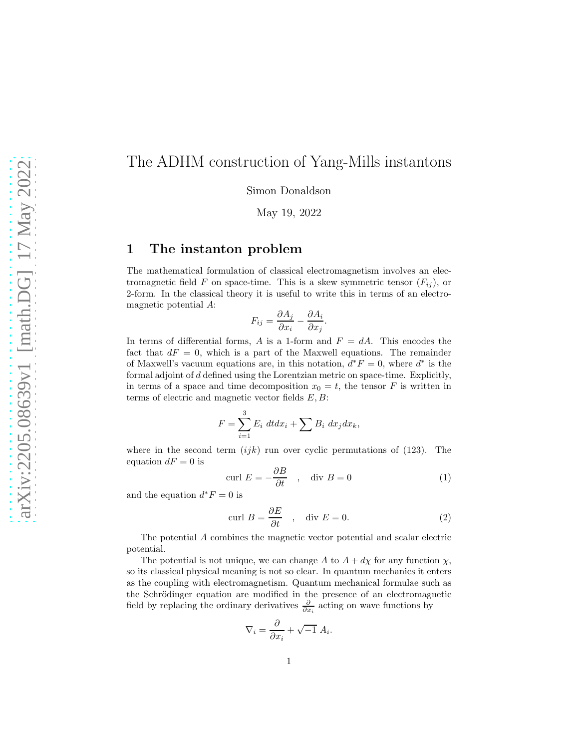# The ADHM construction of Yang-Mills instantons

Simon Donaldson

May 19, 2022

### 1 The instanton problem

The mathematical formulation of classical electromagnetism involves an electromagnetic field F on space-time. This is a skew symmetric tensor  $(F_{ij})$ , or 2-form. In the classical theory it is useful to write this in terms of an electromagnetic potential A:

$$
F_{ij} = \frac{\partial A_j}{\partial x_i} - \frac{\partial A_i}{\partial x_j}.
$$

In terms of differential forms, A is a 1-form and  $F = dA$ . This encodes the fact that  $dF = 0$ , which is a part of the Maxwell equations. The remainder of Maxwell's vacuum equations are, in this notation,  $d^*F = 0$ , where  $d^*$  is the formal adjoint of d defined using the Lorentzian metric on space-time. Explicitly, in terms of a space and time decomposition  $x_0 = t$ , the tensor F is written in terms of electric and magnetic vector fields  $E, B$ :

$$
F = \sum_{i=1}^{3} E_i dt dx_i + \sum B_i dx_j dx_k,
$$

where in the second term  $(ijk)$  run over cyclic permutations of (123). The equation  $dF = 0$  is

$$
\operatorname{curl} E = -\frac{\partial B}{\partial t} \quad , \quad \operatorname{div} B = 0 \tag{1}
$$

and the equation  $d^*F = 0$  is

$$
\operatorname{curl} B = \frac{\partial E}{\partial t} \quad , \quad \operatorname{div} E = 0. \tag{2}
$$

The potential A combines the magnetic vector potential and scalar electric potential.

The potential is not unique, we can change A to  $A + d\chi$  for any function  $\chi$ , so its classical physical meaning is not so clear. In quantum mechanics it enters as the coupling with electromagnetism. Quantum mechanical formulae such as the Schrödinger equation are modified in the presence of an electromagnetic field by replacing the ordinary derivatives  $\frac{\partial}{\partial x_i}$  acting on wave functions by

$$
\nabla_i = \frac{\partial}{\partial x_i} + \sqrt{-1} A_i.
$$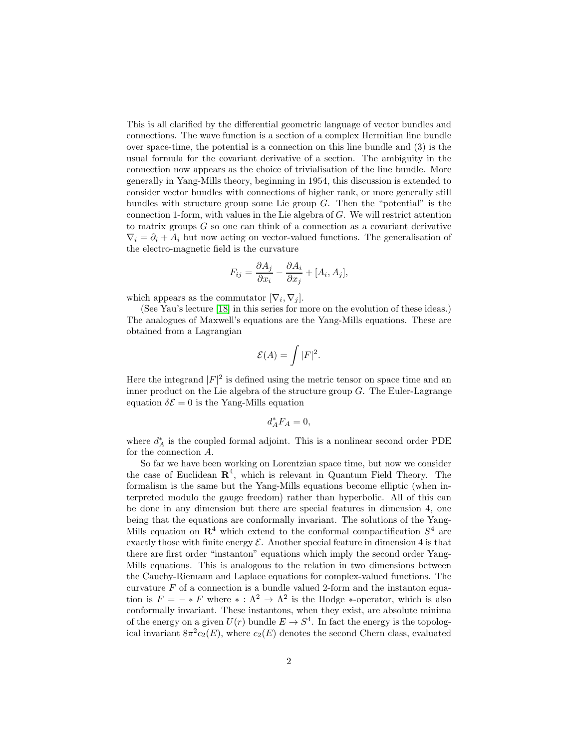This is all clarified by the differential geometric language of vector bundles and connections. The wave function is a section of a complex Hermitian line bundle over space-time, the potential is a connection on this line bundle and (3) is the usual formula for the covariant derivative of a section. The ambiguity in the connection now appears as the choice of trivialisation of the line bundle. More generally in Yang-Mills theory, beginning in 1954, this discussion is extended to consider vector bundles with connections of higher rank, or more generally still bundles with structure group some Lie group  $G$ . Then the "potential" is the connection 1-form, with values in the Lie algebra of G. We will restrict attention to matrix groups  $G$  so one can think of a connection as a covariant derivative  $\nabla_i = \partial_i + A_i$  but now acting on vector-valued functions. The generalisation of the electro-magnetic field is the curvature

$$
F_{ij} = \frac{\partial A_j}{\partial x_i} - \frac{\partial A_i}{\partial x_j} + [A_i, A_j],
$$

which appears as the commutator  $[\nabla_i, \nabla_j]$ .

(See Yau's lecture [\[18\]](#page-14-0) in this series for more on the evolution of these ideas.) The analogues of Maxwell's equations are the Yang-Mills equations. These are obtained from a Lagrangian

$$
\mathcal{E}(A) = \int |F|^2.
$$

Here the integrand  $|F|^2$  is defined using the metric tensor on space time and an inner product on the Lie algebra of the structure group  $G$ . The Euler-Lagrange equation  $\delta \mathcal{E} = 0$  is the Yang-Mills equation

$$
d_A^*F_A=0,
$$

where  $d_A^*$  is the coupled formal adjoint. This is a nonlinear second order PDE for the connection A.

So far we have been working on Lorentzian space time, but now we consider the case of Euclidean  $\mathbb{R}^4$ , which is relevant in Quantum Field Theory. The formalism is the same but the Yang-Mills equations become elliptic (when interpreted modulo the gauge freedom) rather than hyperbolic. All of this can be done in any dimension but there are special features in dimension 4, one being that the equations are conformally invariant. The solutions of the Yang-Mills equation on  $\mathbb{R}^4$  which extend to the conformal compactification  $S^4$  are exactly those with finite energy  $\mathcal E$ . Another special feature in dimension 4 is that there are first order "instanton" equations which imply the second order Yang-Mills equations. This is analogous to the relation in two dimensions between the Cauchy-Riemann and Laplace equations for complex-valued functions. The curvature  $F$  of a connection is a bundle valued 2-form and the instanton equation is  $F = - * F$  where  $* : \Lambda^2 \to \Lambda^2$  is the Hodge  $*$ -operator, which is also conformally invariant. These instantons, when they exist, are absolute minima of the energy on a given  $U(r)$  bundle  $E \to S^4$ . In fact the energy is the topological invariant  $8\pi^2 c_2(E)$ , where  $c_2(E)$  denotes the second Chern class, evaluated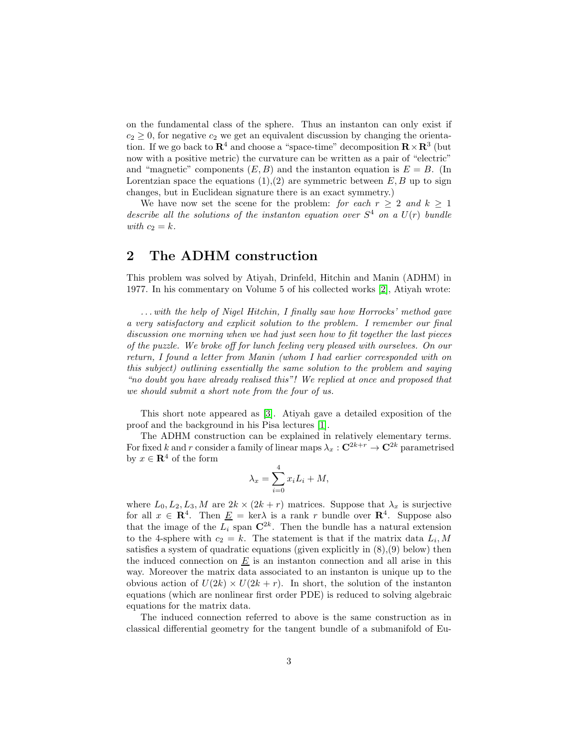on the fundamental class of the sphere. Thus an instanton can only exist if  $c_2 \geq 0$ , for negative  $c_2$  we get an equivalent discussion by changing the orientation. If we go back to  $\mathbb{R}^4$  and choose a "space-time" decomposition  $\mathbb{R} \times \mathbb{R}^3$  (but now with a positive metric) the curvature can be written as a pair of "electric" and "magnetic" components  $(E, B)$  and the instanton equation is  $E = B$ . (In Lorentzian space the equations  $(1),(2)$  are symmetric between  $E, B$  up to sign changes, but in Euclidean signature there is an exact symmetry.)

We have now set the scene for the problem: for each  $r \geq 2$  and  $k \geq 1$ describe all the solutions of the instanton equation over  $S<sup>4</sup>$  on a  $U(r)$  bundle with  $c_2 = k$ .

## 2 The ADHM construction

This problem was solved by Atiyah, Drinfeld, Hitchin and Manin (ADHM) in 1977. In his commentary on Volume 5 of his collected works [\[2\]](#page-13-0), Atiyah wrote:

... with the help of Nigel Hitchin, I finally saw how Horrocks' method gave a very satisfactory and explicit solution to the problem. I remember our final discussion one morning when we had just seen how to fit together the last pieces of the puzzle. We broke off for lunch feeling very pleased with ourselves. On our return, I found a letter from Manin (whom I had earlier corresponded with on this subject) outlining essentially the same solution to the problem and saying "no doubt you have already realised this"! We replied at once and proposed that we should submit a short note from the four of us.

This short note appeared as [\[3\]](#page-13-1). Atiyah gave a detailed exposition of the proof and the background in his Pisa lectures [\[1\]](#page-13-2).

The ADHM construction can be explained in relatively elementary terms. For fixed k and r consider a family of linear maps  $\lambda_x : \mathbf{C}^{2k+r} \to \mathbf{C}^{2k}$  parametrised by  $x \in \mathbf{R}^4$  of the form

$$
\lambda_x = \sum_{i=0}^4 x_i L_i + M,
$$

where  $L_0, L_2, L_3, M$  are  $2k \times (2k + r)$  matrices. Suppose that  $\lambda_x$  is surjective for all  $x \in \mathbb{R}^4$ . Then  $\underline{E} = \ker \lambda$  is a rank r bundle over  $\mathbb{R}^4$ . Suppose also that the image of the  $L_i$  span  $\mathbb{C}^{2k}$ . Then the bundle has a natural extension to the 4-sphere with  $c_2 = k$ . The statement is that if the matrix data  $L_i, M$ satisfies a system of quadratic equations (given explicitly in  $(8)$ , $(9)$  below) then the induced connection on  $\underline{E}$  is an instanton connection and all arise in this way. Moreover the matrix data associated to an instanton is unique up to the obvious action of  $U(2k) \times U(2k+r)$ . In short, the solution of the instanton equations (which are nonlinear first order PDE) is reduced to solving algebraic equations for the matrix data.

The induced connection referred to above is the same construction as in classical differential geometry for the tangent bundle of a submanifold of Eu-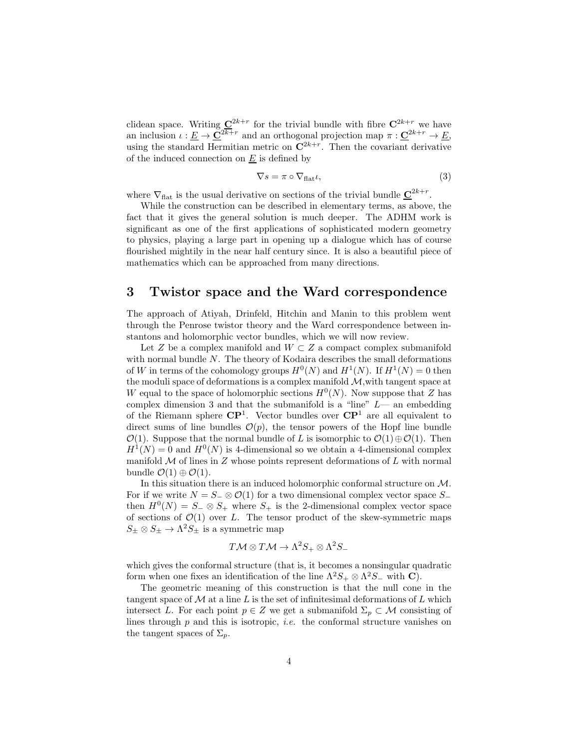clidean space. Writing  $\underline{\mathbf{C}}^{2k+r}$  for the trivial bundle with fibre  $\mathbf{C}^{2k+r}$  we have an inclusion  $\iota : \underline{E} \to \underline{C}^{2k+r}$  and an orthogonal projection map  $\pi : \underline{C}^{2k+r} \to \underline{E}$ , using the standard Hermitian metric on  $\mathbb{C}^{2k+r}$ . Then the covariant derivative of the induced connection on  $E$  is defined by

$$
\nabla s = \pi \circ \nabla_{\text{flat}} \iota,\tag{3}
$$

where  $\nabla_{\text{flat}}$  is the usual derivative on sections of the trivial bundle  $\underline{C}^{2k+r}$ .

While the construction can be described in elementary terms, as above, the fact that it gives the general solution is much deeper. The ADHM work is significant as one of the first applications of sophisticated modern geometry to physics, playing a large part in opening up a dialogue which has of course flourished mightily in the near half century since. It is also a beautiful piece of mathematics which can be approached from many directions.

## 3 Twistor space and the Ward correspondence

The approach of Atiyah, Drinfeld, Hitchin and Manin to this problem went through the Penrose twistor theory and the Ward correspondence between instantons and holomorphic vector bundles, which we will now review.

Let Z be a complex manifold and  $W \subset Z$  a compact complex submanifold with normal bundle N. The theory of Kodaira describes the small deformations of W in terms of the cohomology groups  $H^0(N)$  and  $H^1(N)$ . If  $H^1(N) = 0$  then the moduli space of deformations is a complex manifold  $\mathcal{M},$  with tangent space at W equal to the space of holomorphic sections  $H^0(N)$ . Now suppose that Z has complex dimension 3 and that the submanifold is a "line"  $L-$  an embedding of the Riemann sphere  $\mathbb{C}\mathbb{P}^1$ . Vector bundles over  $\mathbb{C}\mathbb{P}^1$  are all equivalent to direct sums of line bundles  $\mathcal{O}(p)$ , the tensor powers of the Hopf line bundle  $\mathcal{O}(1)$ . Suppose that the normal bundle of L is isomorphic to  $\mathcal{O}(1) \oplus \mathcal{O}(1)$ . Then  $H^1(N) = 0$  and  $H^0(N)$  is 4-dimensional so we obtain a 4-dimensional complex manifold  $\mathcal M$  of lines in Z whose points represent deformations of L with normal bundle  $\mathcal{O}(1) \oplus \mathcal{O}(1)$ .

In this situation there is an induced holomorphic conformal structure on M. For if we write  $N = S_-\otimes \mathcal{O}(1)$  for a two dimensional complex vector space  $S_-\,$ then  $H^0(N) = S_-\otimes S_+$  where  $S_+$  is the 2-dimensional complex vector space of sections of  $\mathcal{O}(1)$  over L. The tensor product of the skew-symmetric maps  $S_{\pm} \otimes S_{\pm} \to \Lambda^2 S_{\pm}$  is a symmetric map

$$
T\mathcal{M}\otimes T\mathcal{M}\to \Lambda^2 S_+\otimes \Lambda^2 S_-
$$

which gives the conformal structure (that is, it becomes a nonsingular quadratic form when one fixes an identification of the line  $\Lambda^2 S_+ \otimes \Lambda^2 S_-$  with **C**).

The geometric meaning of this construction is that the null cone in the tangent space of M at a line L is the set of infinitesimal deformations of L which intersect L. For each point  $p \in Z$  we get a submanifold  $\Sigma_p \subset \mathcal{M}$  consisting of lines through  $p$  and this is isotropic, *i.e.* the conformal structure vanishes on the tangent spaces of  $\Sigma_p$ .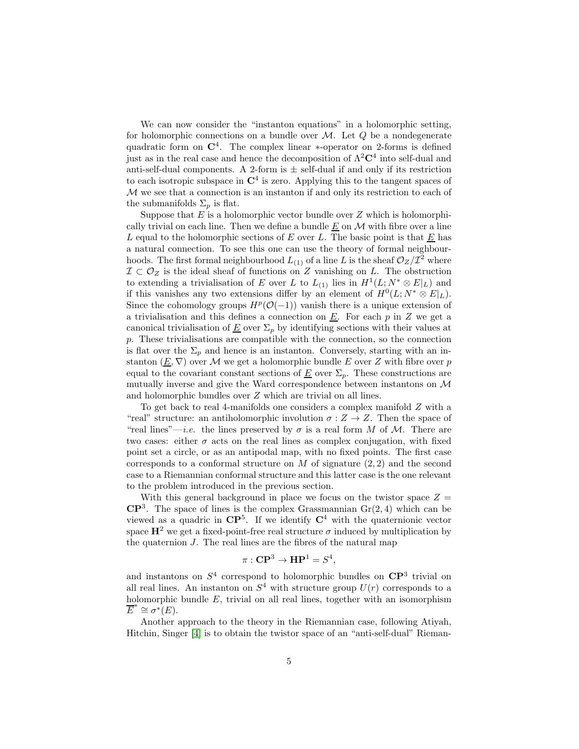We can now consider the "instanton equations" in a holomorphic setting, for holomorphic connections on a bundle over  $M$ . Let  $Q$  be a nondegenerate quadratic form on  $\mathbb{C}^4$ . The complex linear  $*$ -operator on 2-forms is defined just as in the real case and hence the decomposition of  $\Lambda^2\mathbb{C}^4$  into self-dual and anti-self-dual components. A 2-form is  $\pm$  self-dual if and only if its restriction to each isotropic subspace in  $\mathbb{C}^4$  is zero. Applying this to the tangent spaces of  $M$  we see that a connection is an instanton if and only its restriction to each of the submanifolds  $\Sigma_p$  is flat.

Suppose that  $E$  is a holomorphic vector bundle over  $Z$  which is holomorphically trivial on each line. Then we define a bundle  $\underline{E}$  on  $M$  with fibre over a line L equal to the holomorphic sections of E over L. The basic point is that  $E$  has a natural connection. To see this one can use the theory of formal neighbourhoods. The first formal neighbourhood  $L_{(1)}$  of a line L is the sheaf  $\mathcal{O}_Z/\mathcal{I}^2$  where  $\mathcal{I} \subset \mathcal{O}_Z$  is the ideal sheaf of functions on Z vanishing on L. The obstruction to extending a trivialisation of E over L to  $L_{(1)}$  lies in  $H^1(L; N^* \otimes E|_L)$  and if this vanishes any two extensions differ by an element of  $H^0(L; N^* \otimes E|_L)$ . Since the cohomology groups  $H^p(\mathcal{O}(-1))$  vanish there is a unique extension of a trivialisation and this defines a connection on  $\underline{E}$ . For each p in Z we get a canonical trivialisation of  $\underline{E}$  over  $\Sigma_p$  by identifying sections with their values at p. These trivialisations are compatible with the connection, so the connection is flat over the  $\Sigma_p$  and hence is an instanton. Conversely, starting with an instanton  $(\underline{E}, \nabla)$  over M we get a holomorphic bundle E over Z with fibre over p equal to the covariant constant sections of  $\underline{E}$  over  $\Sigma_p$ . These constructions are mutually inverse and give the Ward correspondence between instantons on M and holomorphic bundles over Z which are trivial on all lines.

To get back to real 4-manifolds one considers a complex manifold Z with a "real" structure: an antiholomorphic involution  $\sigma: Z \to Z$ . Then the space of "real lines"—*i.e.* the lines preserved by  $\sigma$  is a real form M of M. There are two cases: either  $\sigma$  acts on the real lines as complex conjugation, with fixed point set a circle, or as an antipodal map, with no fixed points. The first case corresponds to a conformal structure on  $M$  of signature  $(2, 2)$  and the second case to a Riemannian conformal structure and this latter case is the one relevant to the problem introduced in the previous section.

With this general background in place we focus on the twistor space  $Z =$  $\mathbb{CP}^3$ . The space of lines is the complex Grassmannian  $\mathrm{Gr}(2,4)$  which can be viewed as a quadric in  $\mathbb{CP}^5$ . If we identify  $\mathbb{C}^4$  with the quaternionic vector space  $\mathbf{H}^2$  we get a fixed-point-free real structure  $\sigma$  induced by multiplication by the quaternion J. The real lines are the fibres of the natural map

$$
\pi : \mathbf{CP}^3 \to \mathbf{HP}^1 = S^4,
$$

and instantons on  $S^4$  correspond to holomorphic bundles on  $\mathbb{CP}^3$  trivial on all real lines. An instanton on  $S<sup>4</sup>$  with structure group  $U(r)$  corresponds to a holomorphic bundle  $E$ , trivial on all real lines, together with an isomorphism  $\overline{E}^* \cong \sigma^*(E).$ 

Another approach to the theory in the Riemannian case, following Atiyah, Hitchin, Singer [\[4\]](#page-13-3) is to obtain the twistor space of an "anti-self-dual" Rieman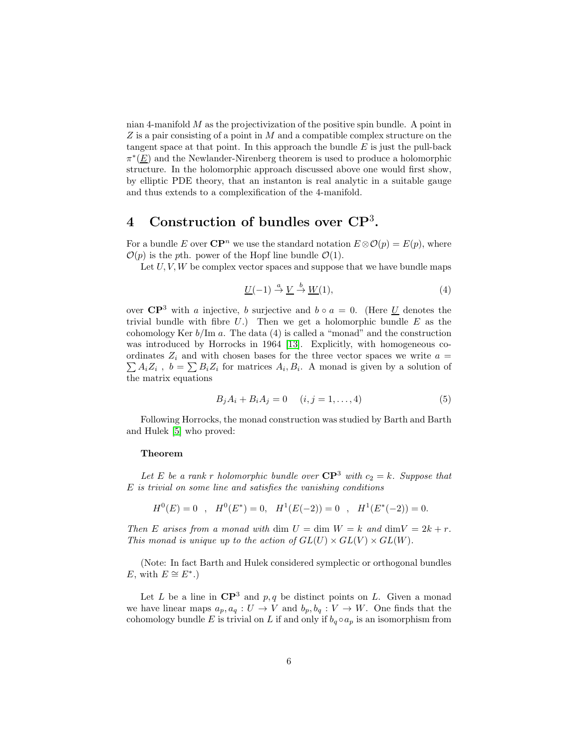nian 4-manifold  $M$  as the projectivization of the positive spin bundle. A point in  $Z$  is a pair consisting of a point in  $M$  and a compatible complex structure on the tangent space at that point. In this approach the bundle  $E$  is just the pull-back  $\pi^*(\underline{E})$  and the Newlander-Nirenberg theorem is used to produce a holomorphic structure. In the holomorphic approach discussed above one would first show, by elliptic PDE theory, that an instanton is real analytic in a suitable gauge and thus extends to a complexification of the 4-manifold.

# 4 Construction of bundles over  $\mathbb{C}P^3$ .

For a bundle E over  $\mathbb{CP}^n$  we use the standard notation  $E \otimes \mathcal{O}(p) = E(p)$ , where  $\mathcal{O}(p)$  is the pth. power of the Hopf line bundle  $\mathcal{O}(1)$ .

Let  $U, V, W$  be complex vector spaces and suppose that we have bundle maps

$$
\underline{U}(-1) \stackrel{a}{\to} \underline{V} \stackrel{b}{\to} \underline{W}(1),\tag{4}
$$

over  $\mathbb{CP}^3$  with a injective, b surjective and  $b \circ a = 0$ . (Here U denotes the trivial bundle with fibre  $U$ .) Then we get a holomorphic bundle  $E$  as the cohomology Ker  $b/\text{Im } a$ . The data (4) is called a "monad" and the construction was introduced by Horrocks in 1964 [\[13\]](#page-13-4). Explicitly, with homogeneous co- $\sum A_i Z_i$ ,  $b = \sum B_i Z_i$  for matrices  $A_i, B_i$ . A monad is given by a solution of ordinates  $Z_i$  and with chosen bases for the three vector spaces we write  $a =$ the matrix equations

$$
B_j A_i + B_i A_j = 0 \t (i, j = 1, ..., 4)
$$
\t(5)

Following Horrocks, the monad construction was studied by Barth and Barth and Hulek [\[5\]](#page-13-5) who proved:

#### Theorem

Let E be a rank r holomorphic bundle over  $\mathbb{C}P^3$  with  $c_2 = k$ . Suppose that  $E$  is trivial on some line and satisfies the vanishing conditions

$$
H0(E) = 0 , H0(E*) = 0, H1(E(-2)) = 0 , H1(E*(-2)) = 0.
$$

Then E arises from a monad with dim  $U = \dim W = k$  and  $\dim V = 2k + r$ . This monad is unique up to the action of  $GL(U) \times GL(V) \times GL(W)$ .

(Note: In fact Barth and Hulek considered symplectic or orthogonal bundles E, with  $E \cong E^*$ .)

Let L be a line in  $\mathbb{CP}^3$  and p, q be distinct points on L. Given a monad we have linear maps  $a_p, a_q: U \to V$  and  $b_p, b_q: V \to W$ . One finds that the cohomology bundle E is trivial on L if and only if  $b_q \circ a_p$  is an isomorphism from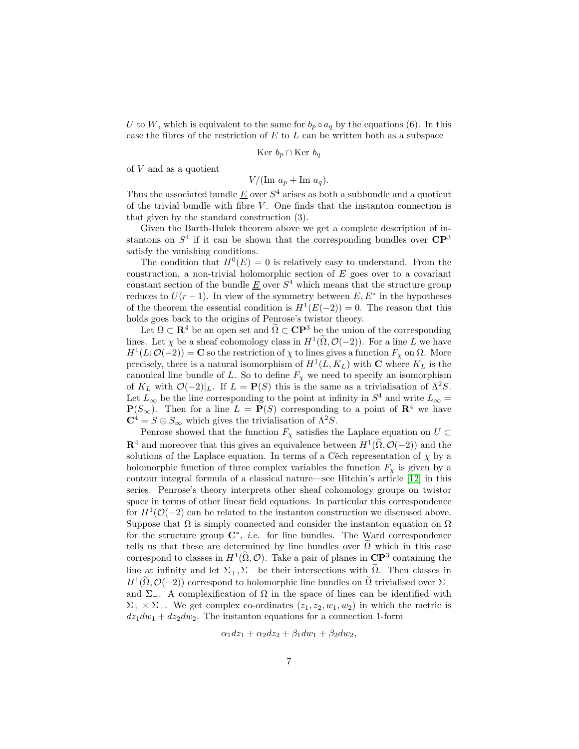U to W, which is equivalent to the same for  $b_p \circ a_q$  by the equations (6). In this case the fibres of the restriction of  $E$  to  $L$  can be written both as a subspace

$$
Ker\ b_p \cap Ker\ b_q
$$

of  $V$  and as a quotient

$$
V/(\text{Im } a_p + \text{Im } a_q).
$$

Thus the associated bundle  $\underline{E}$  over  $S^4$  arises as both a subbundle and a quotient of the trivial bundle with fibre  $V$ . One finds that the instanton connection is that given by the standard construction (3).

Given the Barth-Hulek theorem above we get a complete description of instantons on  $S<sup>4</sup>$  if it can be shown that the corresponding bundles over  $\mathbb{CP}^3$ satisfy the vanishing conditions.

The condition that  $H^0(E) = 0$  is relatively easy to understand. From the construction, a non-trivial holomorphic section of  $E$  goes over to a covariant constant section of the bundle  $\underline{E}$  over  $S^4$  which means that the structure group reduces to  $U(r-1)$ . In view of the symmetry between  $E, E^*$  in the hypotheses of the theorem the essential condition is  $H^1(E(-2)) = 0$ . The reason that this holds goes back to the origins of Penrose's twistor theory.

Let  $\Omega \subset \mathbf{R}^4$  be an open set and  $\Omega \subset \mathbf{CP}^3$  be the union of the corresponding lines. Let  $\chi$  be a sheaf cohomology class in  $H^1(\Omega, \mathcal{O}(-2))$ . For a line L we have  $H^1(L; \mathcal{O}(-2)) = \mathbf{C}$  so the restriction of  $\chi$  to lines gives a function  $F_\chi$  on  $\Omega$ . More precisely, there is a natural isomorphism of  $H^1(L, K_L)$  with C where  $K_L$  is the canonical line bundle of L. So to define  $F_\chi$  we need to specify an isomorphism of  $K_L$  with  $\mathcal{O}(-2)|_L$ . If  $L = P(S)$  this is the same as a trivialisation of  $\Lambda^2 S$ . Let  $L_{\infty}$  be the line corresponding to the point at infinity in  $S^4$  and write  $L_{\infty}$  =  ${\bf P}(S_{\infty})$ . Then for a line  $L = {\bf P}(S)$  corresponding to a point of  ${\bf R}^4$  we have  $\mathbf{C}^4 = S \oplus S_{\infty}$  which gives the trivialisation of  $\Lambda^2 S$ .

Penrose showed that the function  $F_{\chi}$  satisfies the Laplace equation on  $U \subset$  $\mathbb{R}^4$  and moreover that this gives an equivalence between  $H^1(\widetilde{\Omega}, \mathcal{O}(-2))$  and the solutions of the Laplace equation. In terms of a C $\check{e}$ ch representation of  $\chi$  by a holomorphic function of three complex variables the function  $F<sub>x</sub>$  is given by a contour integral formula of a classical nature—see Hitchin's article [\[12\]](#page-13-6) in this series. Penrose's theory interprets other sheaf cohomology groups on twistor space in terms of other linear field equations. In particular this correspondence for  $H^1(\mathcal{O}(-2))$  can be related to the instanton construction we discussed above. Suppose that  $\Omega$  is simply connected and consider the instanton equation on  $\Omega$ for the structure group  $\mathbb{C}^*$ , *i.e.* for line bundles. The Ward correspondence tells us that these are determined by line bundles over  $\Omega$  which in this case correspond to classes in  $H^1(\widetilde{\Omega}, \mathcal{O})$ . Take a pair of planes in  $\mathbb{C}P^3$  containing the line at infinity and let  $\Sigma_+$ ,  $\Sigma_-$  be their intersections with  $\tilde{\Omega}$ . Then classes in  $H^1(\tilde{\Omega}, \mathcal{O}(-2))$  correspond to holomorphic line bundles on  $\tilde{\Omega}$  trivialised over  $\Sigma_+$ and  $\Sigma$ <sub>−</sub>. A complexification of  $\Omega$  in the space of lines can be identified with  $\Sigma_+ \times \Sigma_-$ . We get complex co-ordinates  $(z_1, z_2, w_1, w_2)$  in which the metric is  $dz_1dw_1 + dz_2dw_2$ . The instanton equations for a connection 1-form

$$
\alpha_1 dz_1 + \alpha_2 dz_2 + \beta_1 dw_1 + \beta_2 dw_2,
$$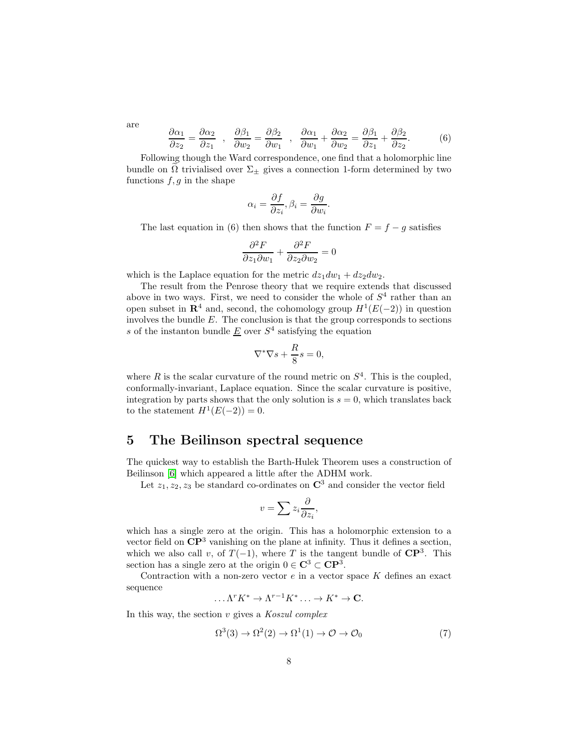$$
\frac{\partial \alpha_1}{\partial z_2} = \frac{\partial \alpha_2}{\partial z_1} \ , \ \ \frac{\partial \beta_1}{\partial w_2} = \frac{\partial \beta_2}{\partial w_1} \ , \ \ \frac{\partial \alpha_1}{\partial w_1} + \frac{\partial \alpha_2}{\partial w_2} = \frac{\partial \beta_1}{\partial z_1} + \frac{\partial \beta_2}{\partial z_2}.
$$
 (6)

Following though the Ward correspondence, one find that a holomorphic line bundle on  $\Omega$  trivialised over  $\Sigma_{\pm}$  gives a connection 1-form determined by two functions  $f, g$  in the shape

$$
\alpha_i = \frac{\partial f}{\partial z_i}, \beta_i = \frac{\partial g}{\partial w_i}.
$$

The last equation in (6) then shows that the function  $F = f - g$  satisfies

$$
\frac{\partial^2 F}{\partial z_1 \partial w_1} + \frac{\partial^2 F}{\partial z_2 \partial w_2} = 0
$$

which is the Laplace equation for the metric  $dz_1 dw_1 + dz_2 dw_2$ .

The result from the Penrose theory that we require extends that discussed above in two ways. First, we need to consider the whole of  $S<sup>4</sup>$  rather than an open subset in  $\mathbb{R}^4$  and, second, the cohomology group  $H^1(E(-2))$  in question involves the bundle  $E$ . The conclusion is that the group corresponds to sections s of the instanton bundle  $\underline{E}$  over  $S^4$  satisfying the equation

$$
\nabla^*\nabla s+\frac{R}{8}s=0,
$$

where R is the scalar curvature of the round metric on  $S<sup>4</sup>$ . This is the coupled, conformally-invariant, Laplace equation. Since the scalar curvature is positive, integration by parts shows that the only solution is  $s = 0$ , which translates back to the statement  $H^1(E(-2)) = 0$ .

### 5 The Beilinson spectral sequence

The quickest way to establish the Barth-Hulek Theorem uses a construction of Beilinson [\[6\]](#page-13-7) which appeared a little after the ADHM work.

Let  $z_1, z_2, z_3$  be standard co-ordinates on  $\mathbb{C}^3$  and consider the vector field

$$
v = \sum z_i \frac{\partial}{\partial z_i},
$$

which has a single zero at the origin. This has a holomorphic extension to a vector field on  $\mathbb{C}P^3$  vanishing on the plane at infinity. Thus it defines a section, which we also call v, of  $T(-1)$ , where T is the tangent bundle of  $\mathbb{CP}^3$ . This section has a single zero at the origin  $0 \in \mathbb{C}^3 \subset \mathbb{C}\mathbb{P}^3$ .

Contraction with a non-zero vector  $e$  in a vector space  $K$  defines an exact sequence

$$
\dots \Lambda^r K^* \to \Lambda^{r-1} K^* \dots \to K^* \to \mathbf{C}.
$$

In this way, the section  $v$  gives a *Koszul complex* 

$$
\Omega^3(3) \to \Omega^2(2) \to \Omega^1(1) \to \mathcal{O} \to \mathcal{O}_0 \tag{7}
$$

are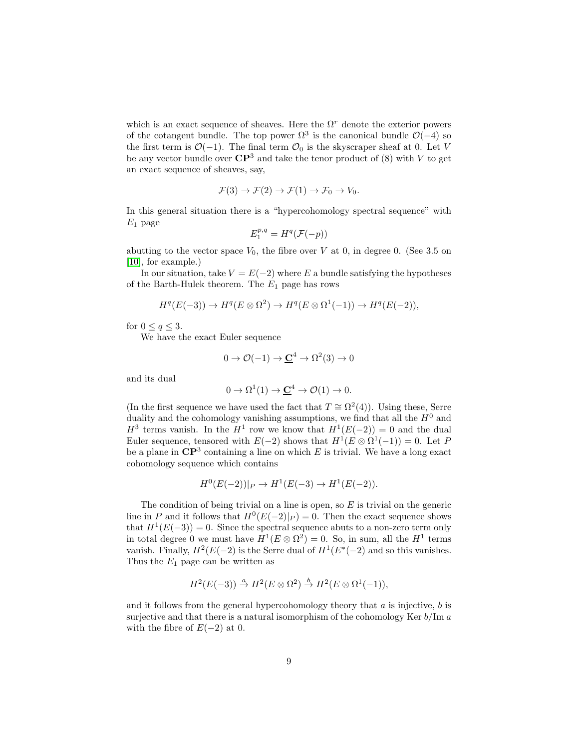which is an exact sequence of sheaves. Here the  $\Omega^r$  denote the exterior powers of the cotangent bundle. The top power  $\Omega^3$  is the canonical bundle  $\mathcal{O}(-4)$  so the first term is  $\mathcal{O}(-1)$ . The final term  $\mathcal{O}_0$  is the skyscraper sheaf at 0. Let V be any vector bundle over  $\mathbb{CP}^3$  and take the tenor product of (8) with V to get an exact sequence of sheaves, say,

$$
\mathcal{F}(3) \to \mathcal{F}(2) \to \mathcal{F}(1) \to \mathcal{F}_0 \to V_0.
$$

In this general situation there is a "hypercohomology spectral sequence" with  $E_1$  page

$$
E_1^{p,q} = H^q(\mathcal{F}(-p))
$$

abutting to the vector space  $V_0$ , the fibre over V at 0, in degree 0. (See 3.5 on [\[10\]](#page-13-8), for example.)

In our situation, take  $V = E(-2)$  where E a bundle satisfying the hypotheses of the Barth-Hulek theorem. The  $E_1$  page has rows

$$
H^q(E(-3)) \to H^q(E \otimes \Omega^2) \to H^q(E \otimes \Omega^1(-1)) \to H^q(E(-2)),
$$

for  $0 \le q \le 3$ .

We have the exact Euler sequence

$$
0 \to \mathcal{O}(-1) \to \underline{\mathbf{C}}^4 \to \Omega^2(3) \to 0
$$

and its dual

$$
0 \to \Omega^1(1) \to \underline{\mathbf{C}}^4 \to \mathcal{O}(1) \to 0.
$$

(In the first sequence we have used the fact that  $T \cong \Omega^2(4)$ ). Using these, Serre duality and the cohomology vanishing assumptions, we find that all the  $H^0$  and  $H^3$  terms vanish. In the  $H^1$  row we know that  $H^1(E(-2)) = 0$  and the dual Euler sequence, tensored with  $E(-2)$  shows that  $H^1(E \otimes \Omega^1(-1)) = 0$ . Let P be a plane in  $\mathbb{CP}^3$  containing a line on which E is trivial. We have a long exact cohomology sequence which contains

$$
H^0(E(-2))|_P \to H^1(E(-3) \to H^1(E(-2)).
$$

The condition of being trivial on a line is open, so  $E$  is trivial on the generic line in P and it follows that  $H^0(E(-2)|_P) = 0$ . Then the exact sequence shows that  $H^1(E(-3)) = 0$ . Since the spectral sequence abuts to a non-zero term only in total degree 0 we must have  $H^1(E \otimes \Omega^2) = 0$ . So, in sum, all the  $H^1$  terms vanish. Finally,  $H^2(E(-2))$  is the Serre dual of  $H^1(E^*(-2))$  and so this vanishes. Thus the  $E_1$  page can be written as

$$
H^2(E(-3)) \stackrel{a}{\rightarrow} H^2(E \otimes \Omega^2) \stackrel{b}{\rightarrow} H^2(E \otimes \Omega^1(-1)),
$$

and it follows from the general hypercohomology theory that  $a$  is injective,  $b$  is surjective and that there is a natural isomorphism of the cohomology Ker  $b/\text{Im }a$ with the fibre of  $E(-2)$  at 0.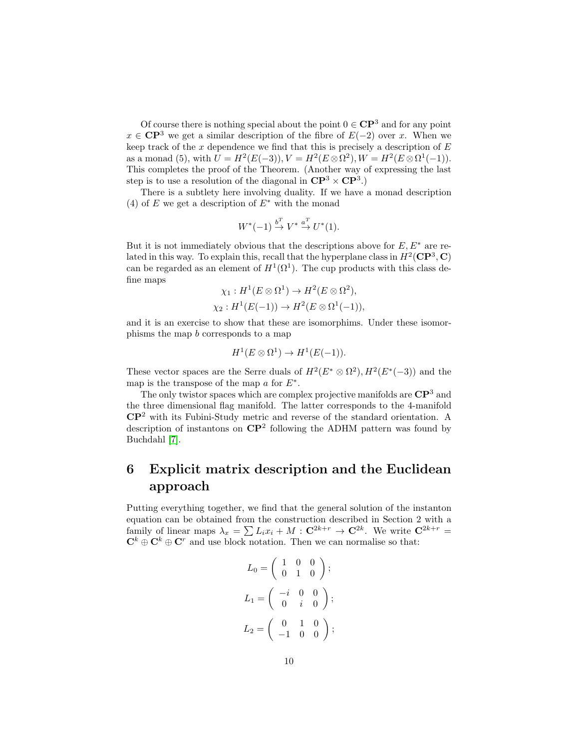Of course there is nothing special about the point  $0 \in \mathbb{C}P^3$  and for any point  $x \in \mathbb{C}P^3$  we get a similar description of the fibre of  $E(-2)$  over x. When we keep track of the x dependence we find that this is precisely a description of  $E$ as a monad (5), with  $U = H^2(E(-3)), V = H^2(E \otimes \Omega^2), W = H^2(E \otimes \Omega^1(-1)).$ This completes the proof of the Theorem. (Another way of expressing the last step is to use a resolution of the diagonal in  $\mathbb{CP}^3 \times \mathbb{CP}^3$ .)

There is a subtlety here involving duality. If we have a monad description (4) of E we get a description of  $E^*$  with the monad

$$
W^{*}(-1) \stackrel{b^T}{\rightarrow} V^{*} \stackrel{a^T}{\rightarrow} U^{*}(1).
$$

But it is not immediately obvious that the descriptions above for  $E, E^*$  are related in this way. To explain this, recall that the hyperplane class in  $H^2(\mathbf{CP}^3, \mathbf{C})$ can be regarded as an element of  $H^1(\Omega^1)$ . The cup products with this class define maps

$$
\chi_1: H^1(E \otimes \Omega^1) \to H^2(E \otimes \Omega^2),
$$
  

$$
\chi_2: H^1(E(-1)) \to H^2(E \otimes \Omega^1(-1)),
$$

and it is an exercise to show that these are isomorphims. Under these isomorphisms the map b corresponds to a map

$$
H^1(E \otimes \Omega^1) \to H^1(E(-1)).
$$

These vector spaces are the Serre duals of  $H^2(E^*\otimes \Omega^2), H^2(E^*(-3))$  and the map is the transpose of the map  $a$  for  $E^*$ .

The only twistor spaces which are complex projective manifolds are  $\mathbb{CP}^3$  and the three dimensional flag manifold. The latter corresponds to the 4-manifold CP<sup>2</sup> with its Fubini-Study metric and reverse of the standard orientation. A description of instantons on  $\mathbb{C}\mathbb{P}^2$  following the ADHM pattern was found by Buchdahl [\[7\]](#page-13-9).

# 6 Explicit matrix description and the Euclidean approach

Putting everything together, we find that the general solution of the instanton equation can be obtained from the construction described in Section 2 with a family of linear maps  $\lambda_x = \sum L_i x_i + M$ :  $\mathbf{C}^{2k+r} \to \mathbf{C}^{2k}$ . We write  $\mathbf{C}^{2k+r} =$  $\mathbf{C}^k \oplus \mathbf{C}^k \oplus \mathbf{C}^r$  and use block notation. Then we can normalise so that:

$$
L_0 = \begin{pmatrix} 1 & 0 & 0 \\ 0 & 1 & 0 \end{pmatrix};
$$
  
\n
$$
L_1 = \begin{pmatrix} -i & 0 & 0 \\ 0 & i & 0 \end{pmatrix};
$$
  
\n
$$
L_2 = \begin{pmatrix} 0 & 1 & 0 \\ -1 & 0 & 0 \end{pmatrix};
$$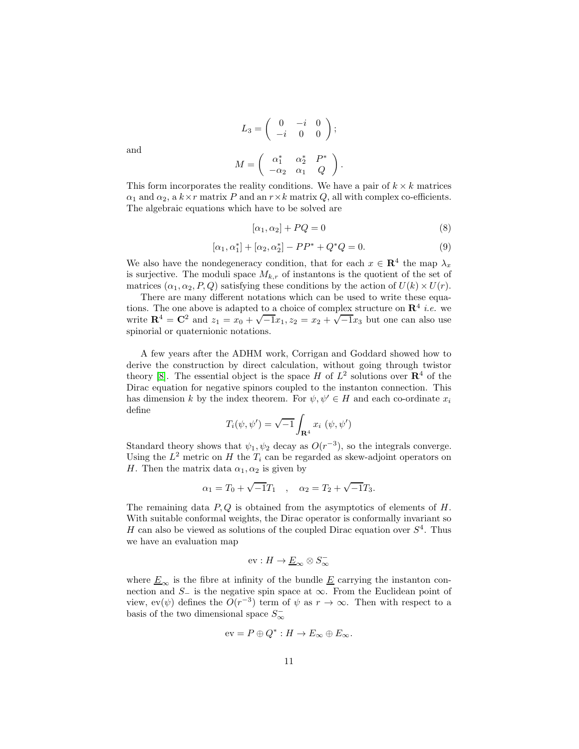$$
L_3 = \begin{pmatrix} 0 & -i & 0 \\ -i & 0 & 0 \end{pmatrix};
$$

$$
M = \begin{pmatrix} \alpha_1^* & \alpha_2^* & P^* \\ -\alpha_2 & \alpha_1 & Q \end{pmatrix}.
$$

and

This form incorporates the reality conditions. We have a pair of  $k \times k$  matrices  $\alpha_1$  and  $\alpha_2$ , a  $k \times r$  matrix P and an  $r \times k$  matrix Q, all with complex co-efficients. The algebraic equations which have to be solved are

$$
[\alpha_1, \alpha_2] + PQ = 0 \tag{8}
$$

$$
[\alpha_1, \alpha_1^*] + [\alpha_2, \alpha_2^*] - PP^* + Q^*Q = 0.
$$
 (9)

We also have the nondegeneracy condition, that for each  $x \in \mathbb{R}^4$  the map  $\lambda_x$ is surjective. The moduli space  $M_{k,r}$  of instantons is the quotient of the set of matrices  $(\alpha_1, \alpha_2, P, Q)$  satisfying these conditions by the action of  $U(k) \times U(r)$ .

There are many different notations which can be used to write these equations. The one above is adapted to a choice of complex structure on  $\mathbb{R}^4$  *i.e.* we write  $f{R}^4 = {C}^2$  and  $z_1 = x_0 + \sqrt{-1}x_1$ ,  $z_2 = x_2 + \sqrt{-1}x_3$  but one can also use spinorial or quaternionic notations.

A few years after the ADHM work, Corrigan and Goddard showed how to derive the construction by direct calculation, without going through twistor theory [\[8\]](#page-13-10). The essential object is the space H of  $L^2$  solutions over  $\mathbb{R}^4$  of the Dirac equation for negative spinors coupled to the instanton connection. This has dimension k by the index theorem. For  $\psi, \psi' \in H$  and each co-ordinate  $x_i$ define

$$
T_i(\psi, \psi') = \sqrt{-1} \int_{\mathbf{R}^4} x_i \, (\psi, \psi')
$$

Standard theory shows that  $\psi_1, \psi_2$  decay as  $O(r^{-3})$ , so the integrals converge. Using the  $L^2$  metric on H the  $T_i$  can be regarded as skew-adjoint operators on H. Then the matrix data  $\alpha_1, \alpha_2$  is given by

$$
\alpha_1 = T_0 + \sqrt{-1}T_1
$$
,  $\alpha_2 = T_2 + \sqrt{-1}T_3$ .

The remaining data  $P, Q$  is obtained from the asymptotics of elements of  $H$ . With suitable conformal weights, the Dirac operator is conformally invariant so H can also be viewed as solutions of the coupled Dirac equation over  $S<sup>4</sup>$ . Thus we have an evaluation map

$$
\operatorname{ev}:H\to \underline{E}_\infty\otimes S_\infty^-
$$

where  $\underline{E}_{\infty}$  is the fibre at infinity of the bundle  $\underline{E}$  carrying the instanton connection and  $S_-\$  is the negative spin space at  $\infty$ . From the Euclidean point of view, ev( $\psi$ ) defines the  $O(r^{-3})$  term of  $\psi$  as  $r \to \infty$ . Then with respect to a basis of the two dimensional space  $S_{\infty}^-$ 

$$
ev = P \oplus Q^* : H \to E_\infty \oplus E_\infty.
$$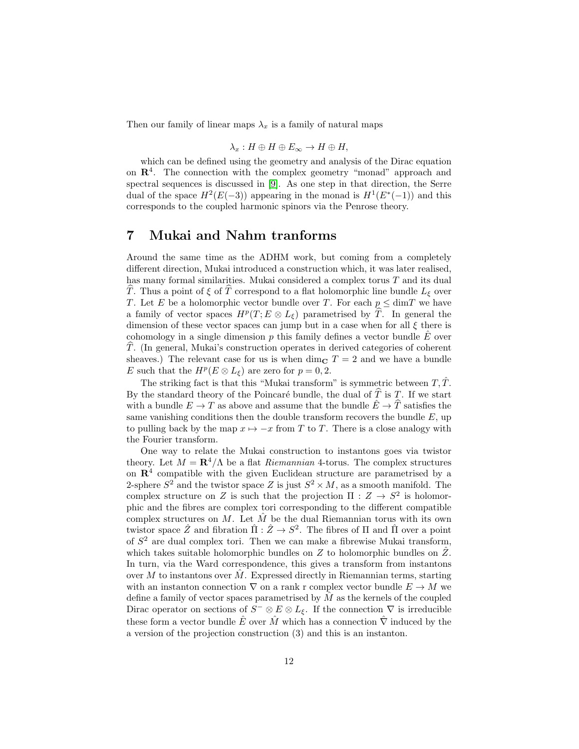Then our family of linear maps  $\lambda_x$  is a family of natural maps

$$
\lambda_x: H \oplus H \oplus E_{\infty} \to H \oplus H,
$$

which can be defined using the geometry and analysis of the Dirac equation on  $\mathbb{R}^4$ . The connection with the complex geometry "monad" approach and spectral sequences is discussed in [\[9\]](#page-13-11). As one step in that direction, the Serre dual of the space  $H^2(E(-3))$  appearing in the monad is  $H^1(E^*(-1))$  and this corresponds to the coupled harmonic spinors via the Penrose theory.

## 7 Mukai and Nahm tranforms

Around the same time as the ADHM work, but coming from a completely different direction, Mukai introduced a construction which, it was later realised, has many formal similarities. Mukai considered a complex torus T and its dual T. Thus a point of  $\xi$  of  $\widehat{T}$  correspond to a flat holomorphic line bundle  $L_{\xi}$  over T. Let E be a holomorphic vector bundle over T. For each  $p \le \dim T$  we have a family of vector spaces  $H^p(T; E \otimes L_{\xi})$  parametrised by  $\widehat{T}$ . In general the dimension of these vector spaces can jump but in a case when for all  $\xi$  there is cohomology in a single dimension p this family defines a vector bundle  $\hat{E}$  over  $T$ . (In general, Mukai's construction operates in derived categories of coherent sheaves.) The relevant case for us is when dim<sub>C</sub>  $T = 2$  and we have a bundle E such that the  $H^p(E \otimes L_{\xi})$  are zero for  $p = 0, 2$ .

The striking fact is that this "Mukai transform" is symmetric between  $T, \hat{T}$ . By the standard theory of the Poincaré bundle, the dual of  $\overline{T}$  is  $T$ . If we start with a bundle  $E \to T$  as above and assume that the bundle  $\hat{E} \to \hat{T}$  satisfies the same vanishing conditions then the double transform recovers the bundle  $E$ , up to pulling back by the map  $x \mapsto -x$  from T to T. There is a close analogy with the Fourier transform.

One way to relate the Mukai construction to instantons goes via twistor theory. Let  $M = \mathbb{R}^4/\Lambda$  be a flat *Riemannian* 4-torus. The complex structures on  $\mathbb{R}^4$  compatible with the given Euclidean structure are parametrised by a 2-sphere  $S^2$  and the twistor space Z is just  $S^2 \times M$ , as a smooth manifold. The complex structure on Z is such that the projection  $\Pi: Z \to S^2$  is holomorphic and the fibres are complex tori corresponding to the different compatible complex structures on M. Let  $\hat{M}$  be the dual Riemannian torus with its own twistor space  $\hat{Z}$  and fibration  $\hat{\Pi} : \hat{Z} \to S^2$ . The fibres of  $\Pi$  and  $\hat{\Pi}$  over a point of  $S<sup>2</sup>$  are dual complex tori. Then we can make a fibrewise Mukai transform, which takes suitable holomorphic bundles on  $Z$  to holomorphic bundles on  $\tilde{Z}$ . In turn, via the Ward correspondence, this gives a transform from instantons over  $M$  to instantons over  $M$ . Expressed directly in Riemannian terms, starting with an instanton connection  $\nabla$  on a rank r complex vector bundle  $E \to M$  we define a family of vector spaces parametrised by  $\hat{M}$  as the kernels of the coupled Dirac operator on sections of  $S^- \otimes E \otimes L_{\xi}$ . If the connection  $\nabla$  is irreducible these form a vector bundle  $\hat{E}$  over  $\hat{M}$  which has a connection  $\hat{\nabla}$  induced by the a version of the projection construction (3) and this is an instanton.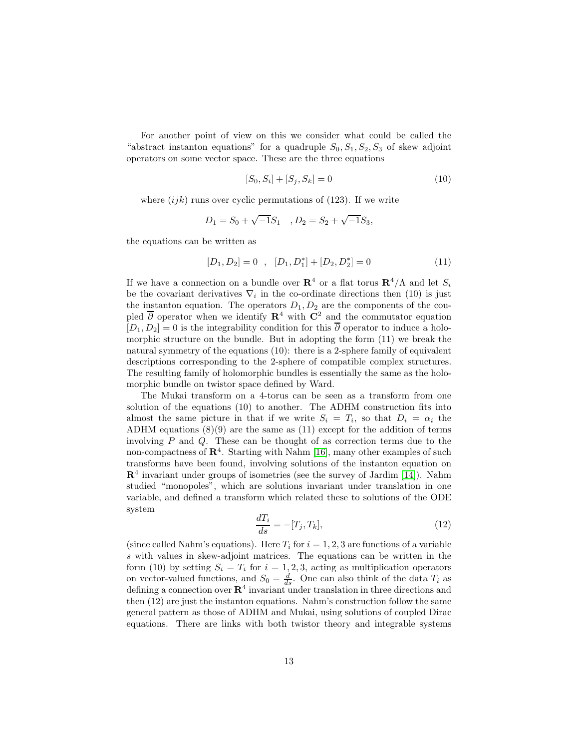For another point of view on this we consider what could be called the "abstract instanton equations" for a quadruple  $S_0, S_1, S_2, S_3$  of skew adjoint operators on some vector space. These are the three equations

$$
[S_0, S_i] + [S_j, S_k] = 0 \tag{10}
$$

where  $(ijk)$  runs over cyclic permutations of (123). If we write

$$
D_1 = S_0 + \sqrt{-1}S_1 \quad , D_2 = S_2 + \sqrt{-1}S_3,
$$

the equations can be written as

$$
[D_1, D_2] = 0 \quad , \quad [D_1, D_1^*] + [D_2, D_2^*] = 0 \tag{11}
$$

If we have a connection on a bundle over  $\mathbb{R}^4$  or a flat torus  $\mathbb{R}^4/\Lambda$  and let  $S_i$ be the covariant derivatives  $\nabla_i$  in the co-ordinate directions then (10) is just the instanton equation. The operators  $D_1, D_2$  are the components of the coupled  $\overline{\partial}$  operator when we identify  $\mathbb{R}^4$  with  $\mathbb{C}^2$  and the commutator equation  $[D_1, D_2] = 0$  is the integrability condition for this  $\overline{\partial}$  operator to induce a holomorphic structure on the bundle. But in adopting the form (11) we break the natural symmetry of the equations (10): there is a 2-sphere family of equivalent descriptions corresponding to the 2-sphere of compatible complex structures. The resulting family of holomorphic bundles is essentially the same as the holomorphic bundle on twistor space defined by Ward.

The Mukai transform on a 4-torus can be seen as a transform from one solution of the equations (10) to another. The ADHM construction fits into almost the same picture in that if we write  $S_i = T_i$ , so that  $D_i = \alpha_i$  the ADHM equations  $(8)(9)$  are the same as  $(11)$  except for the addition of terms involving  $P$  and  $Q$ . These can be thought of as correction terms due to the non-compactness of  $\mathbb{R}^4$ . Starting with Nahm [\[16\]](#page-14-1), many other examples of such transforms have been found, involving solutions of the instanton equation on  $\mathbb{R}^4$  invariant under groups of isometries (see the survey of Jardim [\[14\]](#page-14-2)). Nahm studied "monopoles", which are solutions invariant under translation in one variable, and defined a transform which related these to solutions of the ODE system

$$
\frac{dT_i}{ds} = -[T_j, T_k],\tag{12}
$$

(since called Nahm's equations). Here  $T_i$  for  $i = 1, 2, 3$  are functions of a variable s with values in skew-adjoint matrices. The equations can be written in the form (10) by setting  $S_i = T_i$  for  $i = 1, 2, 3$ , acting as multiplication operators on vector-valued functions, and  $S_0 = \frac{d}{ds}$ . One can also think of the data  $T_i$  as defining a connection over  $\mathbb{R}^4$  invariant under translation in three directions and then (12) are just the instanton equations. Nahm's construction follow the same general pattern as those of ADHM and Mukai, using solutions of coupled Dirac equations. There are links with both twistor theory and integrable systems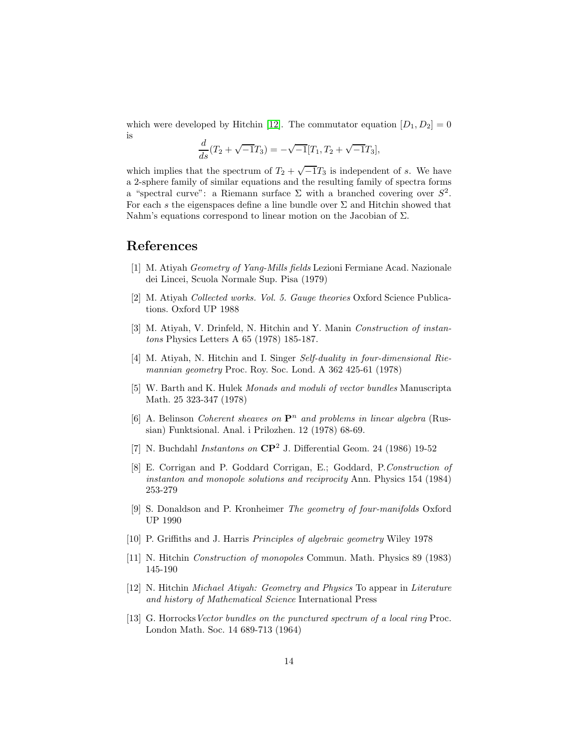which were developed by Hitchin [\[12\]](#page-13-6). The commutator equation  $[D_1, D_2] = 0$ is

$$
\frac{d}{ds}(T_2 + \sqrt{-1}T_3) = -\sqrt{-1}[T_1, T_2 + \sqrt{-1}T_3],
$$

which implies that the spectrum of  $T_2 + \sqrt{-1}T_3$  is independent of s. We have a 2-sphere family of similar equations and the resulting family of spectra forms a "spectral curve": a Riemann surface  $\Sigma$  with a branched covering over  $S^2$ . For each s the eigenspaces define a line bundle over  $\Sigma$  and Hitchin showed that Nahm's equations correspond to linear motion on the Jacobian of  $\Sigma$ .

### <span id="page-13-2"></span>References

- [1] M. Atiyah Geometry of Yang-Mills fields Lezioni Fermiane Acad. Nazionale dei Lincei, Scuola Normale Sup. Pisa (1979)
- <span id="page-13-1"></span><span id="page-13-0"></span>[2] M. Atiyah Collected works. Vol. 5. Gauge theories Oxford Science Publications. Oxford UP 1988
- [3] M. Atiyah, V. Drinfeld, N. Hitchin and Y. Manin Construction of instantons Physics Letters A 65 (1978) 185-187.
- <span id="page-13-3"></span>[4] M. Atiyah, N. Hitchin and I. Singer Self-duality in four-dimensional Riemannian geometry Proc. Roy. Soc. Lond. A 362 425-61 (1978)
- <span id="page-13-5"></span>[5] W. Barth and K. Hulek Monads and moduli of vector bundles Manuscripta Math. 25 323-347 (1978)
- <span id="page-13-7"></span>[6] A. Belinson Coherent sheaves on  $\mathbf{P}^n$  and problems in linear algebra (Russian) Funktsional. Anal. i Prilozhen. 12 (1978) 68-69.
- <span id="page-13-10"></span><span id="page-13-9"></span>[7] N. Buchdahl *Instantons on*  $\mathbb{CP}^2$  J. Differential Geom. 24 (1986) 19-52
- [8] E. Corrigan and P. Goddard Corrigan, E.; Goddard, P.Construction of instanton and monopole solutions and reciprocity Ann. Physics 154 (1984) 253-279
- <span id="page-13-11"></span><span id="page-13-8"></span>[9] S. Donaldson and P. Kronheimer The geometry of four-manifolds Oxford UP 1990
- [10] P. Griffiths and J. Harris Principles of algebraic geometry Wiley 1978
- <span id="page-13-6"></span>[11] N. Hitchin Construction of monopoles Commun. Math. Physics 89 (1983) 145-190
- [12] N. Hitchin Michael Atiyah: Geometry and Physics To appear in Literature and history of Mathematical Science International Press
- <span id="page-13-4"></span>[13] G. Horrocks Vector bundles on the punctured spectrum of a local ring Proc. London Math. Soc. 14 689-713 (1964)